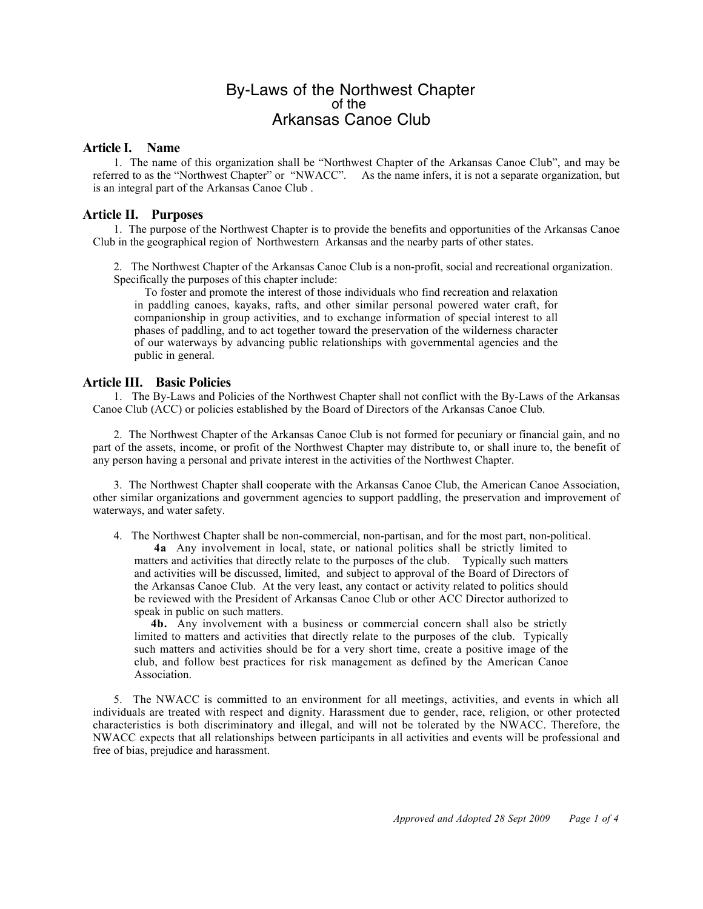# By-Laws of the Northwest Chapter of the Arkansas Canoe Club

#### **Article I. Name**

1. The name of this organization shall be "Northwest Chapter of the Arkansas Canoe Club", and may be referred to as the "Northwest Chapter" or "NWACC". As the name infers, it is not a separate organization, but is an integral part of the Arkansas Canoe Club .

### **Article II. Purposes**

1. The purpose of the Northwest Chapter is to provide the benefits and opportunities of the Arkansas Canoe Club in the geographical region of Northwestern Arkansas and the nearby parts of other states.

2. The Northwest Chapter of the Arkansas Canoe Club is a non-profit, social and recreational organization. Specifically the purposes of this chapter include:

To foster and promote the interest of those individuals who find recreation and relaxation in paddling canoes, kayaks, rafts, and other similar personal powered water craft, for companionship in group activities, and to exchange information of special interest to all phases of paddling, and to act together toward the preservation of the wilderness character of our waterways by advancing public relationships with governmental agencies and the public in general.

### **Article III. Basic Policies**

1. The By-Laws and Policies of the Northwest Chapter shall not conflict with the By-Laws of the Arkansas Canoe Club (ACC) or policies established by the Board of Directors of the Arkansas Canoe Club.

2. The Northwest Chapter of the Arkansas Canoe Club is not formed for pecuniary or financial gain, and no part of the assets, income, or profit of the Northwest Chapter may distribute to, or shall inure to, the benefit of any person having a personal and private interest in the activities of the Northwest Chapter.

3. The Northwest Chapter shall cooperate with the Arkansas Canoe Club, the American Canoe Association, other similar organizations and government agencies to support paddling, the preservation and improvement of waterways, and water safety.

4. The Northwest Chapter shall be non-commercial, non-partisan, and for the most part, non-political. **4a** Any involvement in local, state, or national politics shall be strictly limited to matters and activities that directly relate to the purposes of the club. Typically such matters and activities will be discussed, limited, and subject to approval of the Board of Directors of the Arkansas Canoe Club. At the very least, any contact or activity related to politics should be reviewed with the President of Arkansas Canoe Club or other ACC Director authorized to speak in public on such matters.

 **4b.** Any involvement with a business or commercial concern shall also be strictly limited to matters and activities that directly relate to the purposes of the club. Typically such matters and activities should be for a very short time, create a positive image of the club, and follow best practices for risk management as defined by the American Canoe Association.

5. The NWACC is committed to an environment for all meetings, activities, and events in which all individuals are treated with respect and dignity. Harassment due to gender, race, religion, or other protected characteristics is both discriminatory and illegal, and will not be tolerated by the NWACC. Therefore, the NWACC expects that all relationships between participants in all activities and events will be professional and free of bias, prejudice and harassment.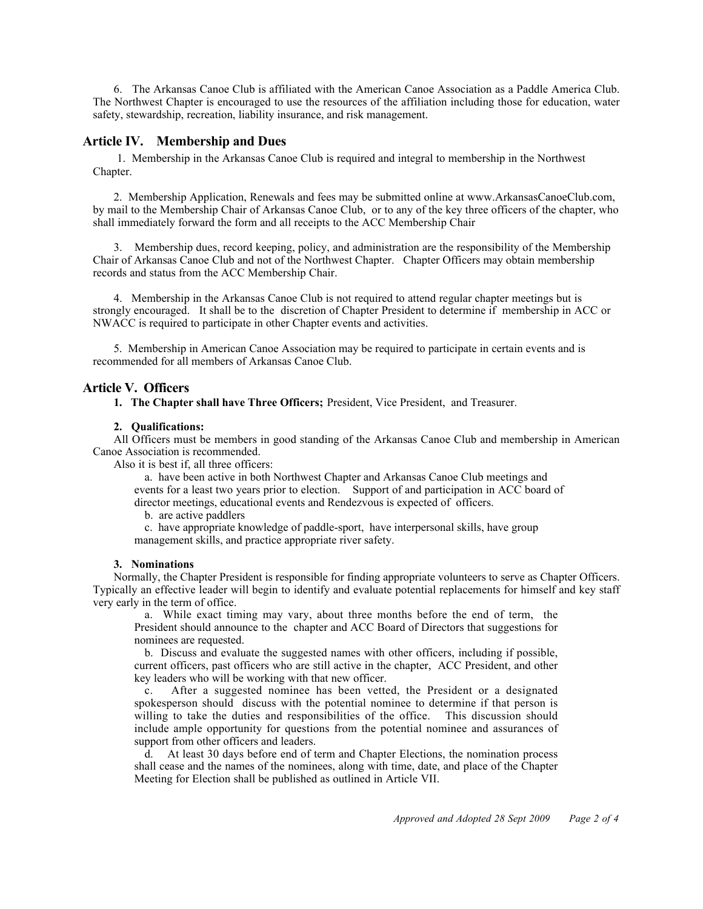6. The Arkansas Canoe Club is affiliated with the American Canoe Association as a Paddle America Club. The Northwest Chapter is encouraged to use the resources of the affiliation including those for education, water safety, stewardship, recreation, liability insurance, and risk management.

#### **Article IV. Membership and Dues**

1. Membership in the Arkansas Canoe Club is required and integral to membership in the Northwest Chapter.

2. Membership Application, Renewals and fees may be submitted online at www.ArkansasCanoeClub.com, by mail to the Membership Chair of Arkansas Canoe Club, or to any of the key three officers of the chapter, who shall immediately forward the form and all receipts to the ACC Membership Chair

3. Membership dues, record keeping, policy, and administration are the responsibility of the Membership Chair of Arkansas Canoe Club and not of the Northwest Chapter. Chapter Officers may obtain membership records and status from the ACC Membership Chair.

4. Membership in the Arkansas Canoe Club is not required to attend regular chapter meetings but is strongly encouraged. It shall be to the discretion of Chapter President to determine if membership in ACC or NWACC is required to participate in other Chapter events and activities.

5. Membership in American Canoe Association may be required to participate in certain events and is recommended for all members of Arkansas Canoe Club.

#### **Article V. Officers**

**1. The Chapter shall have Three Officers;** President, Vice President, and Treasurer.

#### **2. Qualifications:**

All Officers must be members in good standing of the Arkansas Canoe Club and membership in American Canoe Association is recommended.

Also it is best if, all three officers:

a. have been active in both Northwest Chapter and Arkansas Canoe Club meetings and events for a least two years prior to election. Support of and participation in ACC board of director meetings, educational events and Rendezvous is expected of officers.

b. are active paddlers

c. have appropriate knowledge of paddle-sport, have interpersonal skills, have group management skills, and practice appropriate river safety.

#### **3. Nominations**

Normally, the Chapter President is responsible for finding appropriate volunteers to serve as Chapter Officers. Typically an effective leader will begin to identify and evaluate potential replacements for himself and key staff very early in the term of office.

a. While exact timing may vary, about three months before the end of term, the President should announce to the chapter and ACC Board of Directors that suggestions for nominees are requested.

b. Discuss and evaluate the suggested names with other officers, including if possible, current officers, past officers who are still active in the chapter, ACC President, and other key leaders who will be working with that new officer.

c. After a suggested nominee has been vetted, the President or a designated spokesperson should discuss with the potential nominee to determine if that person is willing to take the duties and responsibilities of the office. This discussion should include ample opportunity for questions from the potential nominee and assurances of support from other officers and leaders.

d. At least 30 days before end of term and Chapter Elections, the nomination process shall cease and the names of the nominees, along with time, date, and place of the Chapter Meeting for Election shall be published as outlined in Article VII.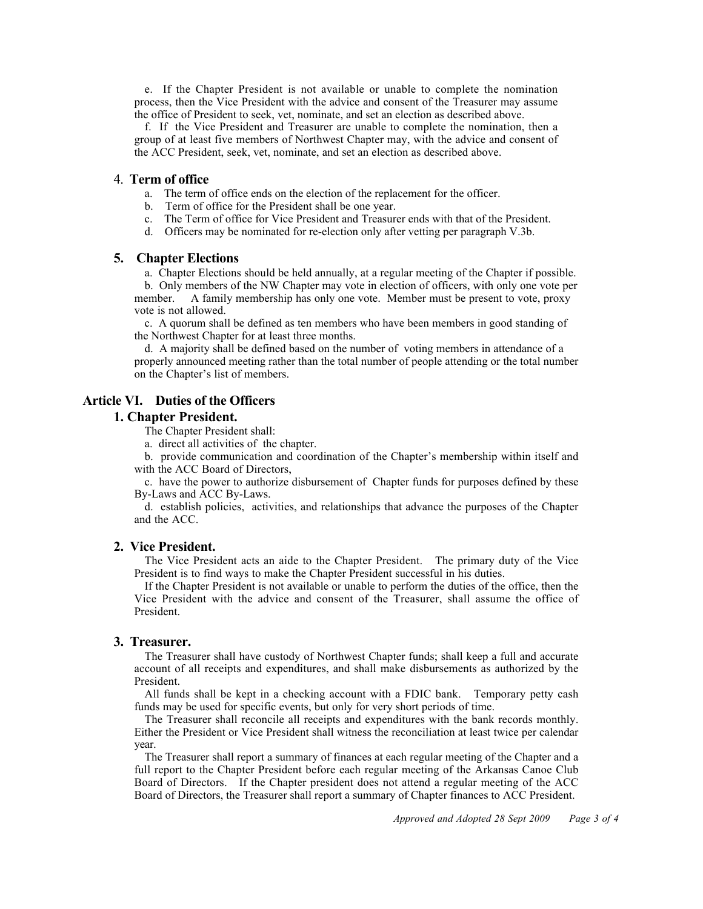e. If the Chapter President is not available or unable to complete the nomination process, then the Vice President with the advice and consent of the Treasurer may assume the office of President to seek, vet, nominate, and set an election as described above.

f. If the Vice President and Treasurer are unable to complete the nomination, then a group of at least five members of Northwest Chapter may, with the advice and consent of the ACC President, seek, vet, nominate, and set an election as described above.

#### 4. **Term of office**

- a. The term of office ends on the election of the replacement for the officer.
- b. Term of office for the President shall be one year.
- c. The Term of office for Vice President and Treasurer ends with that of the President.
- d. Officers may be nominated for re-election only after vetting per paragraph V.3b.

#### **5. Chapter Elections**

a. Chapter Elections should be held annually, at a regular meeting of the Chapter if possible. b. Only members of the NW Chapter may vote in election of officers, with only one vote per

member. A family membership has only one vote. Member must be present to vote, proxy vote is not allowed.

c. A quorum shall be defined as ten members who have been members in good standing of the Northwest Chapter for at least three months.

d. A majority shall be defined based on the number of voting members in attendance of a properly announced meeting rather than the total number of people attending or the total number on the Chapter's list of members.

## **Article VI. Duties of the Officers**

## **1. Chapter President.**

The Chapter President shall:

a. direct all activities of the chapter.

b. provide communication and coordination of the Chapter's membership within itself and with the ACC Board of Directors,

c. have the power to authorize disbursement of Chapter funds for purposes defined by these By-Laws and ACC By-Laws.

d. establish policies, activities, and relationships that advance the purposes of the Chapter and the ACC.

### **2. Vice President.**

The Vice President acts an aide to the Chapter President. The primary duty of the Vice President is to find ways to make the Chapter President successful in his duties.

If the Chapter President is not available or unable to perform the duties of the office, then the Vice President with the advice and consent of the Treasurer, shall assume the office of President.

### **3. Treasurer.**

The Treasurer shall have custody of Northwest Chapter funds; shall keep a full and accurate account of all receipts and expenditures, and shall make disbursements as authorized by the President.

All funds shall be kept in a checking account with a FDIC bank. Temporary petty cash funds may be used for specific events, but only for very short periods of time.

The Treasurer shall reconcile all receipts and expenditures with the bank records monthly. Either the President or Vice President shall witness the reconciliation at least twice per calendar year.

The Treasurer shall report a summary of finances at each regular meeting of the Chapter and a full report to the Chapter President before each regular meeting of the Arkansas Canoe Club Board of Directors. If the Chapter president does not attend a regular meeting of the ACC Board of Directors, the Treasurer shall report a summary of Chapter finances to ACC President.